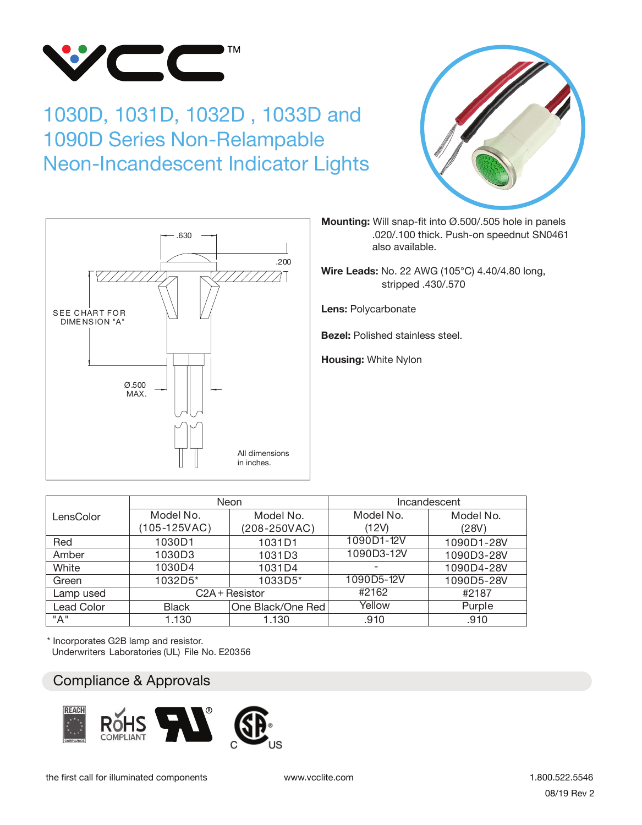

## 1030D, 1031D, 1032D , 1033D and 1090D Series Non-Relampable Neon-Incandescent Indicator Lights





**Mounting:** Will snap-fit into Ø.500/.505 hole in panels .020/.100 thick. Push-on speednut SN0461 also available.

**Wire Leads:** No. 22 AWG (105°C) 4.40/4.80 long, stripped .430/.570

**Lens:** Polycarbonate

**Bezel:** Polished stainless steel.

**Housing:** White Nylon

|                   |              | Neon              | Incandescent |            |  |  |  |  |  |
|-------------------|--------------|-------------------|--------------|------------|--|--|--|--|--|
| LensColor         | Model No.    | Model No.         | Model No.    | Model No.  |  |  |  |  |  |
|                   | (105-125VAC) | $(208 - 250VAC)$  | (12V)        | (28V)      |  |  |  |  |  |
| Red               | 1030D1       | 1031D1            | 1090D1-12V   | 1090D1-28V |  |  |  |  |  |
| Amber             | 1030D3       | 1031D3            | 1090D3-12V   | 1090D3-28V |  |  |  |  |  |
| White             | 1030D4       | 1031D4            |              | 1090D4-28V |  |  |  |  |  |
| Green             | 1032D5*      | 1033D5*           | 1090D5-12V   | 1090D5-28V |  |  |  |  |  |
| Lamp used         |              | C2A + Resistor    | #2162        | #2187      |  |  |  |  |  |
| <b>Lead Color</b> | <b>Black</b> | One Black/One Red | Yellow       | Purple     |  |  |  |  |  |
| "A"               | 1.130        | 1.130             | .910         | .910       |  |  |  |  |  |

\* Incorporates G2B lamp and resistor. Underwriters Laboratories (UL) File No. E20356

## Compliance & approvals Compliance & Approvals